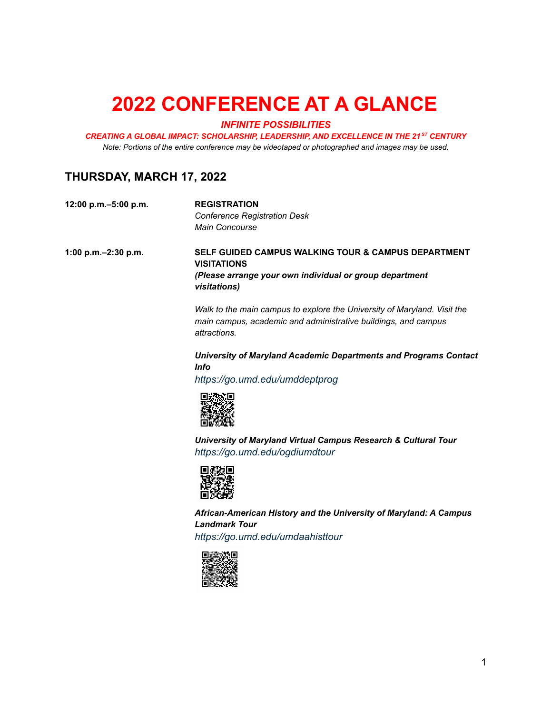# **2022 CONFERENCE AT A GLANCE**

#### *INFINITE POSSIBILITIES*

*CREATING A GLOBAL IMPACT: SCHOLARSHIP, LEADERSHIP, AND EXCELLENCE IN THE 21 ST CENTURY Note: Portions of the entire conference may be videotaped or photographed and images may be used.*

### **THURSDAY, MARCH 17, 2022**

| 12:00 p.m. - 5:00 p.m. | <b>REGISTRATION</b>                 |
|------------------------|-------------------------------------|
|                        | <b>Conference Registration Desk</b> |
|                        | <b>Main Concourse</b>               |

**1:00 p.m.–2:30 p.m. SELF GUIDED CAMPUS WALKING TOUR & CAMPUS DEPARTMENT VISITATIONS** *(Please arrange your own individual or group department visitations)*

> *Walk to the main campus to explore the University of Maryland. Visit the main campus, academic and administrative buildings, and campus attractions.*

#### *University of Maryland Academic Departments and Programs Contact Info*

*<https://go.umd.edu/umddeptprog>*



*University of Maryland Virtual Campus Research & Cultural Tour <https://go.umd.edu/ogdiumdtour>*



*African-American History and the University of Maryland: A Campus Landmark Tour <https://go.umd.edu/umdaahisttour>*

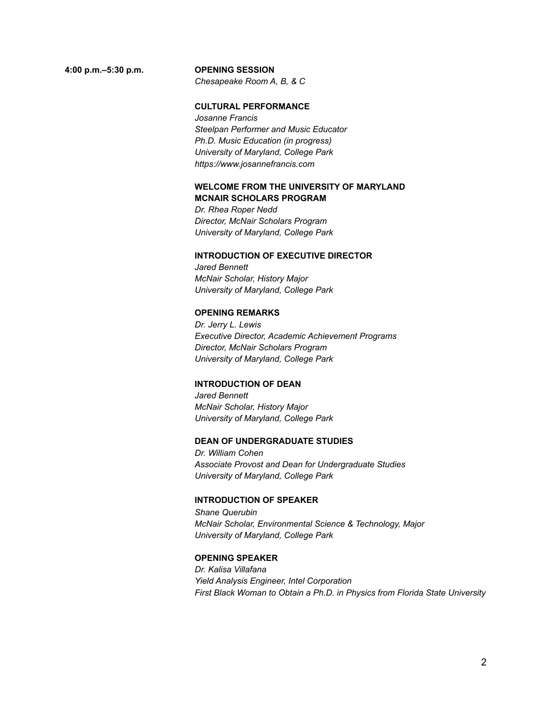#### **4:00 p.m.–5:30 p.m. OPENING SESSION**

*Chesapeake Room A, B, & C*

#### **CULTURAL PERFORMANCE**

*Josanne Francis Steelpan Performer and Music Educator Ph.D. Music Education (in progress) University of Maryland, College Park https://www.josannefrancis.com*

#### **WELCOME FROM THE UNIVERSITY OF MARYLAND MCNAIR SCHOLARS PROGRAM**

*Dr. Rhea Roper Nedd Director, McNair Scholars Program University of Maryland, College Park*

#### **INTRODUCTION OF EXECUTIVE DIRECTOR**

*Jared Bennett McNair Scholar, History Major University of Maryland, College Park*

#### **OPENING REMARKS**

*Dr. Jerry L. Lewis Executive Director, Academic Achievement Programs Director, McNair Scholars Program University of Maryland, College Park*

#### **INTRODUCTION OF DEAN**

*Jared Bennett McNair Scholar, History Major University of Maryland, College Park*

#### **DEAN OF UNDERGRADUATE STUDIES**

*Dr. William Cohen Associate Provost and Dean for Undergraduate Studies University of Maryland, College Park*

#### **INTRODUCTION OF SPEAKER**

*Shane Querubin McNair Scholar, Environmental Science & Technology, Major University of Maryland, College Park*

#### **OPENING SPEAKER**

*Dr. Kalisa Villafana Yield Analysis Engineer, Intel Corporation First Black Woman to Obtain a Ph.D. in Physics from Florida State University*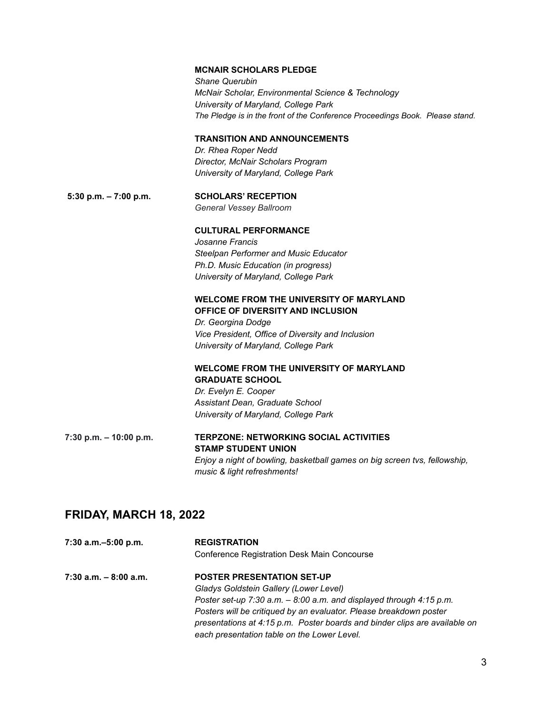|                           | <b>MCNAIR SCHOLARS PLEDGE</b><br><b>Shane Querubin</b><br>McNair Scholar, Environmental Science & Technology<br>University of Maryland, College Park<br>The Pledge is in the front of the Conference Proceedings Book. Please stand. |
|---------------------------|--------------------------------------------------------------------------------------------------------------------------------------------------------------------------------------------------------------------------------------|
|                           | <b>TRANSITION AND ANNOUNCEMENTS</b><br>Dr. Rhea Roper Nedd                                                                                                                                                                           |
|                           | Director, McNair Scholars Program                                                                                                                                                                                                    |
|                           | University of Maryland, College Park                                                                                                                                                                                                 |
| 5:30 p.m. $-7:00$ p.m.    | <b>SCHOLARS' RECEPTION</b>                                                                                                                                                                                                           |
|                           | General Vessey Ballroom                                                                                                                                                                                                              |
|                           | <b>CULTURAL PERFORMANCE</b><br>Josanne Francis                                                                                                                                                                                       |
|                           | Steelpan Performer and Music Educator                                                                                                                                                                                                |
|                           | Ph.D. Music Education (in progress)                                                                                                                                                                                                  |
|                           | University of Maryland, College Park                                                                                                                                                                                                 |
|                           | <b>WELCOME FROM THE UNIVERSITY OF MARYLAND</b><br>OFFICE OF DIVERSITY AND INCLUSION                                                                                                                                                  |
|                           | Dr. Georgina Dodge                                                                                                                                                                                                                   |
|                           | Vice President, Office of Diversity and Inclusion                                                                                                                                                                                    |
|                           | University of Maryland, College Park                                                                                                                                                                                                 |
|                           | <b>WELCOME FROM THE UNIVERSITY OF MARYLAND</b><br><b>GRADUATE SCHOOL</b>                                                                                                                                                             |
|                           | Dr. Evelyn E. Cooper                                                                                                                                                                                                                 |
|                           | Assistant Dean, Graduate School                                                                                                                                                                                                      |
|                           | University of Maryland, College Park                                                                                                                                                                                                 |
| $7:30$ p.m. $-10:00$ p.m. | <b>TERPZONE: NETWORKING SOCIAL ACTIVITIES</b><br><b>STAMP STUDENT UNION</b>                                                                                                                                                          |
|                           | Enjoy a night of bowling, basketball games on big screen tvs, fellowship,                                                                                                                                                            |
|                           | music & light refreshments!                                                                                                                                                                                                          |

## **FRIDAY, MARCH 18, 2022**

| 7:30 a.m. - 5:00 p.m.    | <b>REGISTRATION</b><br><b>Conference Registration Desk Main Concourse</b>                                                                                                                                                                                                                                                                                  |
|--------------------------|------------------------------------------------------------------------------------------------------------------------------------------------------------------------------------------------------------------------------------------------------------------------------------------------------------------------------------------------------------|
| $7:30$ a.m. $-8:00$ a.m. | <b>POSTER PRESENTATION SET-UP</b><br>Gladys Goldstein Gallery (Lower Level)<br>Poster set-up $7:30$ a.m. $-8:00$ a.m. and displayed through $4:15$ p.m.<br>Posters will be critiqued by an evaluator. Please breakdown poster<br>presentations at 4:15 p.m. Poster boards and binder clips are available on<br>each presentation table on the Lower Level. |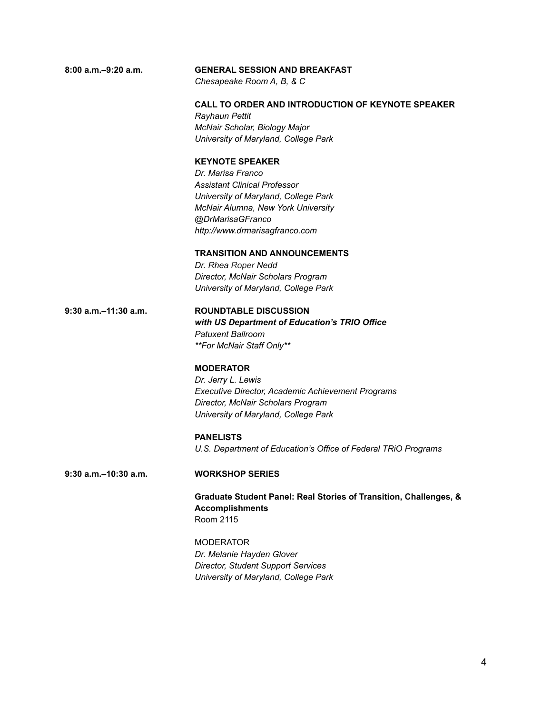| $8:00$ a.m. $-9:20$ a.m.  | <b>GENERAL SESSION AND BREAKFAST</b><br>Chesapeake Room A, B, & C     |  |
|---------------------------|-----------------------------------------------------------------------|--|
|                           |                                                                       |  |
|                           | <b>CALL TO ORDER AND INTRODUCTION OF KEYNOTE SPEAKER</b>              |  |
|                           | Rayhaun Pettit                                                        |  |
|                           | McNair Scholar, Biology Major<br>University of Maryland, College Park |  |
|                           | <b>KEYNOTE SPEAKER</b>                                                |  |
|                           | Dr. Marisa Franco                                                     |  |
|                           | <b>Assistant Clinical Professor</b>                                   |  |
|                           | University of Maryland, College Park                                  |  |
|                           | McNair Alumna, New York University                                    |  |
|                           | @DrMarisaGFranco                                                      |  |
|                           | http://www.drmarisagfranco.com                                        |  |
|                           | <b>TRANSITION AND ANNOUNCEMENTS</b>                                   |  |
|                           | Dr. Rhea Roper Nedd                                                   |  |
|                           | Director, McNair Scholars Program                                     |  |
|                           | University of Maryland, College Park                                  |  |
| $9:30$ a.m. $-11:30$ a.m. | <b>ROUNDTABLE DISCUSSION</b>                                          |  |
|                           | with US Department of Education's TRIO Office                         |  |
|                           | <b>Patuxent Ballroom</b>                                              |  |
|                           | **For McNair Staff Only**                                             |  |
|                           | <b>MODERATOR</b>                                                      |  |
|                           | Dr. Jerry L. Lewis                                                    |  |
|                           | <b>Executive Director, Academic Achievement Programs</b>              |  |
|                           | Director, McNair Scholars Program                                     |  |
|                           | University of Maryland, College Park                                  |  |
|                           | <b>PANELISTS</b>                                                      |  |
|                           | U.S. Department of Education's Office of Federal TRIO Programs        |  |
| $9:30$ a.m. $-10:30$ a.m. | <b>WORKSHOP SERIES</b>                                                |  |
|                           | Graduate Student Panel: Real Stories of Transition, Challenges, &     |  |
|                           | <b>Accomplishments</b>                                                |  |
|                           | Room 2115                                                             |  |
|                           | <b>MODERATOR</b>                                                      |  |
|                           | Dr. Melanie Hayden Glover                                             |  |
|                           | <b>Director, Student Support Services</b>                             |  |
|                           | University of Maryland, College Park                                  |  |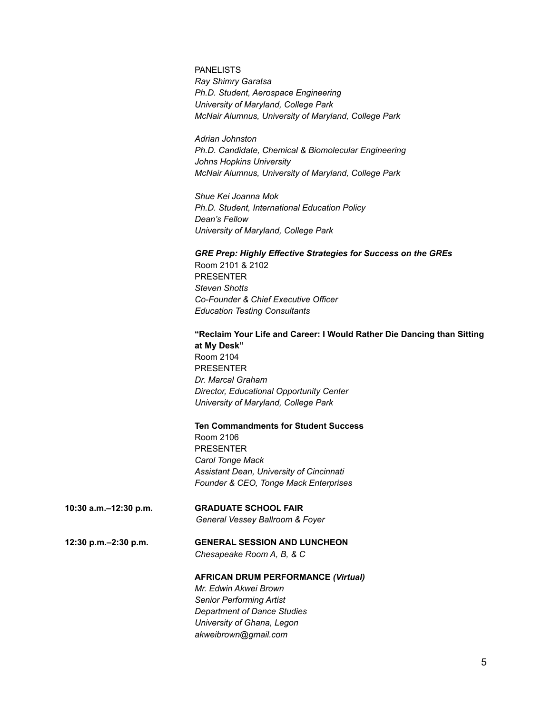#### PANELISTS

*Ray Shimry Garatsa Ph.D. Student, Aerospace Engineering University of Maryland, College Park McNair Alumnus, University of Maryland, College Park*

*Adrian Johnston Ph.D. Candidate, Chemical & Biomolecular Engineering Johns Hopkins University McNair Alumnus, University of Maryland, College Park*

*Shue Kei Joanna Mok Ph.D. Student, International Education Policy Dean's Fellow University of Maryland, College Park*

#### *GRE Prep: Highly Effective Strategies for Success on the GREs*

Room 2101 & 2102 PRESENTER *Steven Shotts Co-Founder & Chief Executive Officer Education Testing Consultants*

#### **"Reclaim Your Life and Career: I Would Rather Die Dancing than Sitting at My Desk"** Room 2104

PRESENTER *Dr. Marcal Graham Director, Educational Opportunity Center University of Maryland, College Park*

#### **Ten Commandments for Student Success**

Room 2106 PRESENTER *Carol Tonge Mack Assistant Dean, University of Cincinnati Founder & CEO, Tonge Mack Enterprises*

#### **10:30 a.m.–12:30 p.m. GRADUATE SCHOOL FAIR**

*General Vessey Ballroom & Foyer*

#### **12:30 p.m.–2:30 p.m. GENERAL SESSION AND LUNCHEON** *Chesapeake Room A, B, & C*

#### **AFRICAN DRUM PERFORMANCE** *(Virtual)*

*Mr. Edwin Akwei Brown Senior Performing Artist Department of Dance Studies University of Ghana, Legon akweibrown@gmail.com*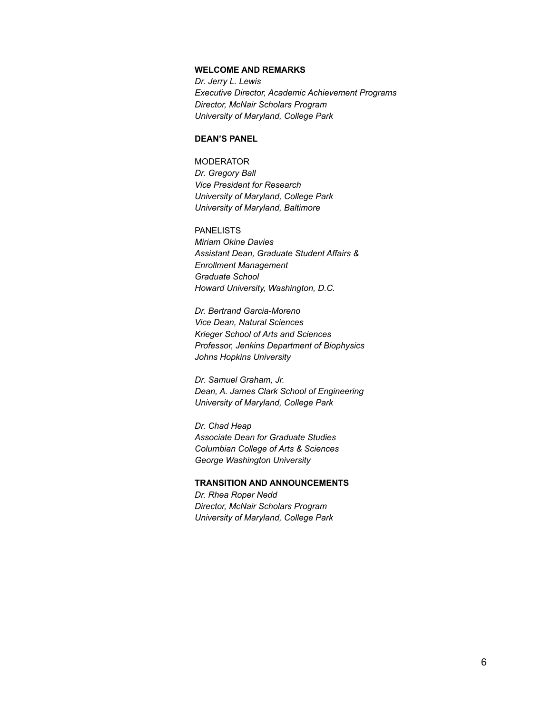#### **WELCOME AND REMARKS**

*Dr. Jerry L. Lewis Executive Director, Academic Achievement Programs Director, McNair Scholars Program University of Maryland, College Park*

#### **DEAN'S PANEL**

MODERATOR *Dr. Gregory Ball Vice President for Research University of Maryland, College Park University of Maryland, Baltimore*

PANELISTS *Miriam Okine Davies Assistant Dean, Graduate Student Affairs & Enrollment Management Graduate School Howard University, Washington, D.C.*

*Dr. Bertrand Garcia-Moreno Vice Dean, Natural Sciences Krieger School of Arts and Sciences Professor, Jenkins Department of Biophysics Johns Hopkins University*

*Dr. Samuel Graham, Jr. Dean, A. James Clark School of Engineering University of Maryland, College Park*

*Dr. Chad Heap Associate Dean for Graduate Studies Columbian College of Arts & Sciences George Washington University*

#### **TRANSITION AND ANNOUNCEMENTS**

*Dr. Rhea Roper Nedd Director, McNair Scholars Program University of Maryland, College Park*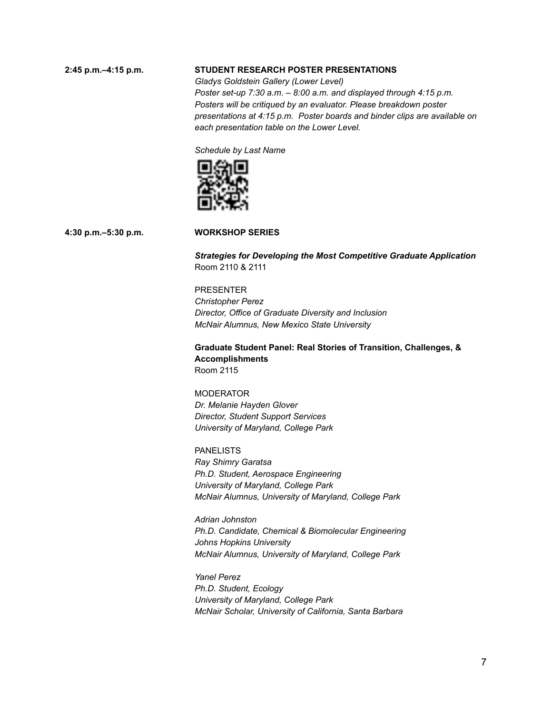#### **2:45 p.m.–4:15 p.m. STUDENT RESEARCH POSTER PRESENTATIONS**

*Gladys Goldstein Gallery (Lower Level) Poster set-up 7:30 a.m. – 8:00 a.m. and displayed through 4:15 p.m. Posters will be critiqued by an evaluator. Please breakdown poster presentations at 4:15 p.m. Poster boards and binder clips are available on each presentation table on the Lower Level.*

*Schedule by Last Name*



#### **4:30 p.m.–5:30 p.m. WORKSHOP SERIES**

*Strategies for Developing the Most Competitive Graduate Application* Room 2110 & 2111

#### PRESENTER

*Christopher Perez Director, Office of Graduate Diversity and Inclusion McNair Alumnus, New Mexico State University*

**Graduate Student Panel: Real Stories of Transition, Challenges, & Accomplishments** Room 2115

**MODERATOR** *Dr. Melanie Hayden Glover Director, Student Support Services University of Maryland, College Park*

PANELISTS *Ray Shimry Garatsa Ph.D. Student, Aerospace Engineering University of Maryland, College Park McNair Alumnus, University of Maryland, College Park*

*Adrian Johnston Ph.D. Candidate, Chemical & Biomolecular Engineering Johns Hopkins University McNair Alumnus, University of Maryland, College Park*

*Yanel Perez Ph.D. Student, Ecology University of Maryland, College Park McNair Scholar, University of California, Santa Barbara*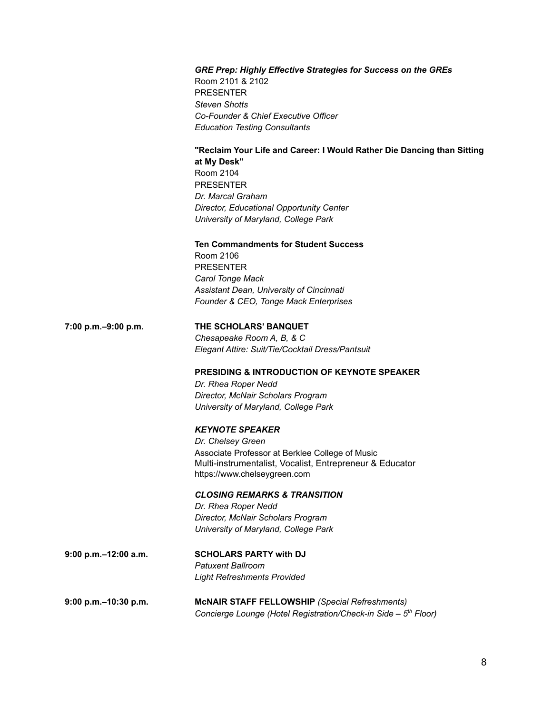#### *GRE Prep: Highly Effective Strategies for Success on the GREs*

Room 2101 & 2102 PRESENTER *Steven Shotts Co-Founder & Chief Executive Officer Education Testing Consultants*

#### **"Reclaim Your Life and Career: I Would Rather Die Dancing than Sitting at My Desk"**

Room 2104 PRESENTER *Dr. Marcal Graham Director, Educational Opportunity Center University of Maryland, College Park*

#### **Ten Commandments for Student Success**

Room 2106 PRESENTER *Carol Tonge Mack Assistant Dean, University of Cincinnati Founder & CEO, Tonge Mack Enterprises*

#### **7:00 p.m.–9:00 p.m. THE SCHOLARS' BANQUET**

*Chesapeake Room A, B, & C Elegant Attire: Suit/Tie/Cocktail Dress/Pantsuit*

#### **PRESIDING & INTRODUCTION OF KEYNOTE SPEAKER**

*Dr. Rhea Roper Nedd Director, McNair Scholars Program University of Maryland, College Park*

#### *KEYNOTE SPEAKER*

*Dr. Chelsey Green* Associate Professor at Berklee College of Music Multi-instrumentalist, Vocalist, Entrepreneur & Educator https://www.chelseygreen.com

#### *CLOSING REMARKS & TRANSITION*

*Dr. Rhea Roper Nedd Director, McNair Scholars Program University of Maryland, College Park*

**9:00 p.m.–12:00 a.m. SCHOLARS PARTY with DJ** *Patuxent Ballroom Light Refreshments Provided*

**9:00 p.m.–10:30 p.m. McNAIR STAFF FELLOWSHIP** *(Special Refreshments) Concierge Lounge (Hotel Registration/Check-in Side – 5 th Floor)*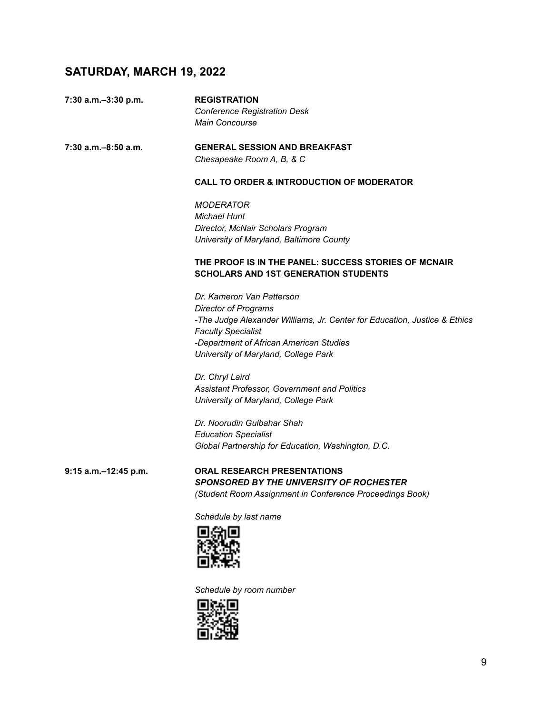## **SATURDAY, MARCH 19, 2022**

| 7:30 a.m.-3:30 p.m.  | <b>REGISTRATION</b><br><b>Conference Registration Desk</b>                                          |
|----------------------|-----------------------------------------------------------------------------------------------------|
|                      | <b>Main Concourse</b>                                                                               |
| 7:30 a.m.–8:50 a.m.  | <b>GENERAL SESSION AND BREAKFAST</b>                                                                |
|                      | Chesapeake Room A, B, & C                                                                           |
|                      | <b>CALL TO ORDER &amp; INTRODUCTION OF MODERATOR</b>                                                |
|                      | <b>MODERATOR</b>                                                                                    |
|                      | <b>Michael Hunt</b>                                                                                 |
|                      | Director, McNair Scholars Program                                                                   |
|                      | University of Maryland, Baltimore County                                                            |
|                      | THE PROOF IS IN THE PANEL: SUCCESS STORIES OF MCNAIR<br><b>SCHOLARS AND 1ST GENERATION STUDENTS</b> |
|                      | Dr. Kameron Van Patterson                                                                           |
|                      | <b>Director of Programs</b>                                                                         |
|                      | -The Judge Alexander Williams, Jr. Center for Education, Justice & Ethics                           |
|                      | <b>Faculty Specialist</b>                                                                           |
|                      | -Department of African American Studies                                                             |
|                      | University of Maryland, College Park                                                                |
|                      | Dr. Chryl Laird                                                                                     |
|                      | Assistant Professor, Government and Politics                                                        |
|                      | University of Maryland, College Park                                                                |
|                      | Dr. Noorudin Gulbahar Shah                                                                          |
|                      | <b>Education Specialist</b>                                                                         |
|                      | Global Partnership for Education, Washington, D.C.                                                  |
| 9:15 a.m.-12:45 p.m. | <b>ORAL RESEARCH PRESENTATIONS</b>                                                                  |
|                      | <b>SPONSORED BY THE UNIVERSITY OF ROCHESTER</b>                                                     |
|                      | (Student Room Assignment in Conference Proceedings Book)                                            |
|                      | Schedule by last name                                                                               |
|                      | --                                                                                                  |



*Schedule by room number*

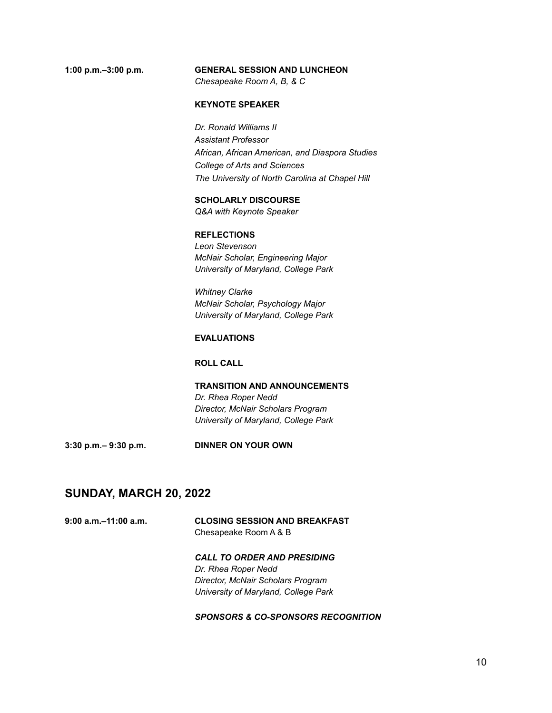#### **1:00 p.m.–3:00 p.m. GENERAL SESSION AND LUNCHEON**

*Chesapeake Room A, B, & C*

## **KEYNOTE SPEAKER**

*Dr. Ronald Williams II Assistant Professor African, African American, and Diaspora Studies College of Arts and Sciences The University of North Carolina at Chapel Hill*

#### **SCHOLARLY DISCOURSE**

*Q&A with Keynote Speaker*

#### **REFLECTIONS**

*Leon Stevenson McNair Scholar, Engineering Major University of Maryland, College Park*

*Whitney Clarke McNair Scholar, Psychology Major University of Maryland, College Park*

#### **EVALUATIONS**

#### **ROLL CALL**

**TRANSITION AND ANNOUNCEMENTS** *Dr. Rhea Roper Nedd Director, McNair Scholars Program University of Maryland, College Park*

**3:30 p.m.– 9:30 p.m. DINNER ON YOUR OWN**

#### **SUNDAY, MARCH 20, 2022**

| $9:00$ a.m. $-11:00$ a.m. | <b>CLOSING SESSION AND BREAKFAST</b> |
|---------------------------|--------------------------------------|
|                           | Chesapeake Room A & B                |

*CALL TO ORDER AND PRESIDING Dr. Rhea Roper Nedd Director, McNair Scholars Program University of Maryland, College Park*

#### *SPONSORS & CO-SPONSORS RECOGNITION*